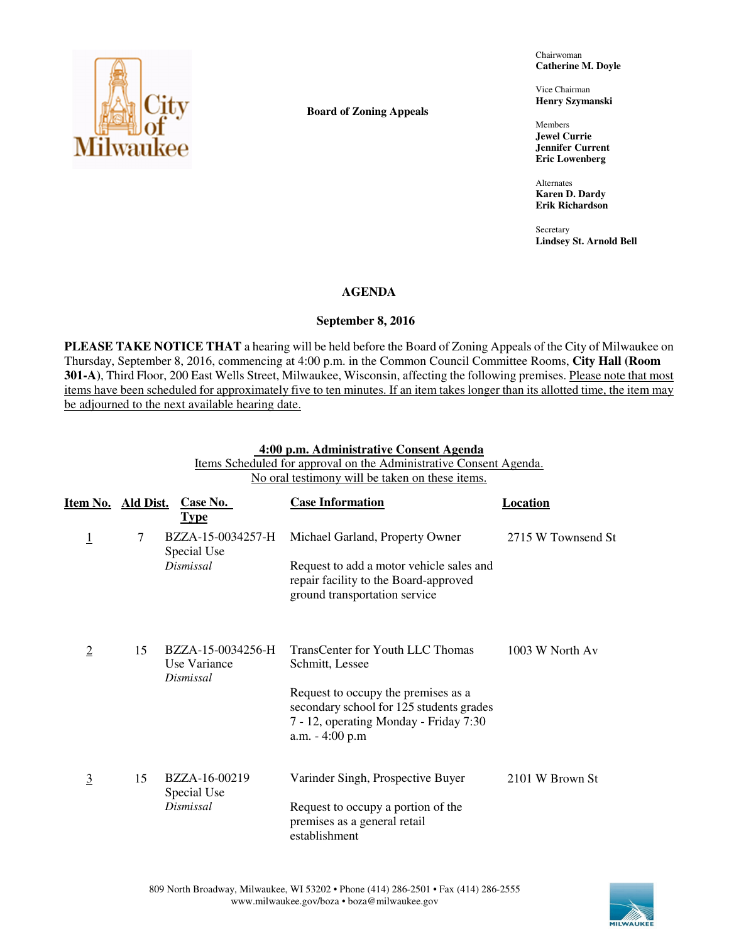

**Board of Zoning Appeals** 

Chairwoman **Catherine M. Doyle** 

Vice Chairman **Henry Szymanski** 

Members **Jewel Currie Jennifer Current Eric Lowenberg** 

Alternates **Karen D. Dardy Erik Richardson** 

**Secretary Lindsey St. Arnold Bell** 

## **AGENDA**

## **September 8, 2016**

**PLEASE TAKE NOTICE THAT** a hearing will be held before the Board of Zoning Appeals of the City of Milwaukee on Thursday, September 8, 2016, commencing at 4:00 p.m. in the Common Council Committee Rooms, **City Hall (Room 301-A)**, Third Floor, 200 East Wells Street, Milwaukee, Wisconsin, affecting the following premises. Please note that most items have been scheduled for approximately five to ten minutes. If an item takes longer than its allotted time, the item may be adjourned to the next available hearing date.

#### **4:00 p.m. Administrative Consent Agenda**

Items Scheduled for approval on the Administrative Consent Agenda. No oral testimony will be taken on these items.

| Item No. Ald Dist. |    | Case No.<br><b>Type</b>                        | <b>Case Information</b>                                                                                                                        | Location           |
|--------------------|----|------------------------------------------------|------------------------------------------------------------------------------------------------------------------------------------------------|--------------------|
| $\overline{1}$     | 7  | BZZA-15-0034257-H<br>Special Use               | Michael Garland, Property Owner                                                                                                                | 2715 W Townsend St |
|                    |    | Dismissal                                      | Request to add a motor vehicle sales and<br>repair facility to the Board-approved<br>ground transportation service                             |                    |
| $\overline{2}$     | 15 | BZZA-15-0034256-H<br>Use Variance<br>Dismissal | TransCenter for Youth LLC Thomas<br>Schmitt, Lessee                                                                                            | 1003 W North Av    |
|                    |    |                                                | Request to occupy the premises as a<br>secondary school for 125 students grades<br>7 - 12, operating Monday - Friday 7:30<br>$a.m. - 4:00 p.m$ |                    |
| $\overline{3}$     | 15 | BZZA-16-00219<br>Special Use                   | Varinder Singh, Prospective Buyer                                                                                                              | 2101 W Brown St    |
|                    |    | <b>Dismissal</b>                               | Request to occupy a portion of the<br>premises as a general retail<br>establishment                                                            |                    |

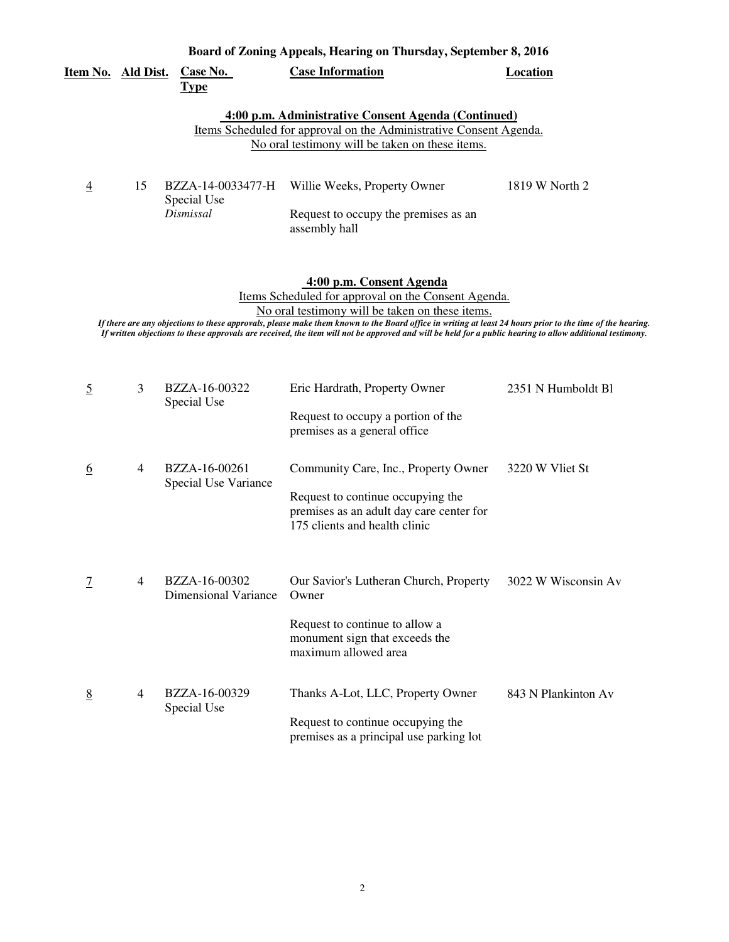|                    | Board of Zoning Appeals, Hearing on Thursday, September 8, 2016 |                                               |                                                                                                                                                                                                                                                                                                                                                                                                                                                              |                     |  |  |
|--------------------|-----------------------------------------------------------------|-----------------------------------------------|--------------------------------------------------------------------------------------------------------------------------------------------------------------------------------------------------------------------------------------------------------------------------------------------------------------------------------------------------------------------------------------------------------------------------------------------------------------|---------------------|--|--|
| Item No. Ald Dist. |                                                                 | Case No.<br><b>Type</b>                       | <b>Case Information</b>                                                                                                                                                                                                                                                                                                                                                                                                                                      | <b>Location</b>     |  |  |
|                    |                                                                 |                                               | 4:00 p.m. Administrative Consent Agenda (Continued)<br>Items Scheduled for approval on the Administrative Consent Agenda.<br>No oral testimony will be taken on these items.                                                                                                                                                                                                                                                                                 |                     |  |  |
| $\overline{4}$     | 15                                                              | BZZA-14-0033477-H<br>Special Use<br>Dismissal | Willie Weeks, Property Owner<br>Request to occupy the premises as an<br>assembly hall                                                                                                                                                                                                                                                                                                                                                                        | 1819 W North 2      |  |  |
|                    |                                                                 |                                               | 4:00 p.m. Consent Agenda<br>Items Scheduled for approval on the Consent Agenda.<br>No oral testimony will be taken on these items.<br>If there are any objections to these approvals, please make them known to the Board office in writing at least 24 hours prior to the time of the hearing.<br>If written objections to these approvals are received, the item will not be approved and will be held for a public hearing to allow additional testimony. |                     |  |  |
| $\overline{5}$     | 3                                                               | BZZA-16-00322<br>Special Use                  | Eric Hardrath, Property Owner<br>Request to occupy a portion of the<br>premises as a general office                                                                                                                                                                                                                                                                                                                                                          | 2351 N Humboldt Bl  |  |  |
| $6\overline{6}$    | 4                                                               | BZZA-16-00261<br>Special Use Variance         | Community Care, Inc., Property Owner<br>Request to continue occupying the<br>premises as an adult day care center for<br>175 clients and health clinic                                                                                                                                                                                                                                                                                                       | 3220 W Vliet St     |  |  |
| $\overline{1}$     | 4                                                               | BZZA-16-00302<br><b>Dimensional Variance</b>  | Our Savior's Lutheran Church, Property<br>Owner                                                                                                                                                                                                                                                                                                                                                                                                              | 3022 W Wisconsin Av |  |  |

Request to continue to allow a monument sign that exceeds the maximum allowed area BZZA-16-00329 Thanks A-Lot, LLC, Property Owner 843 N Plankinton Av Request to continue occupying the premises as a principal use parking lot Special Use 8 4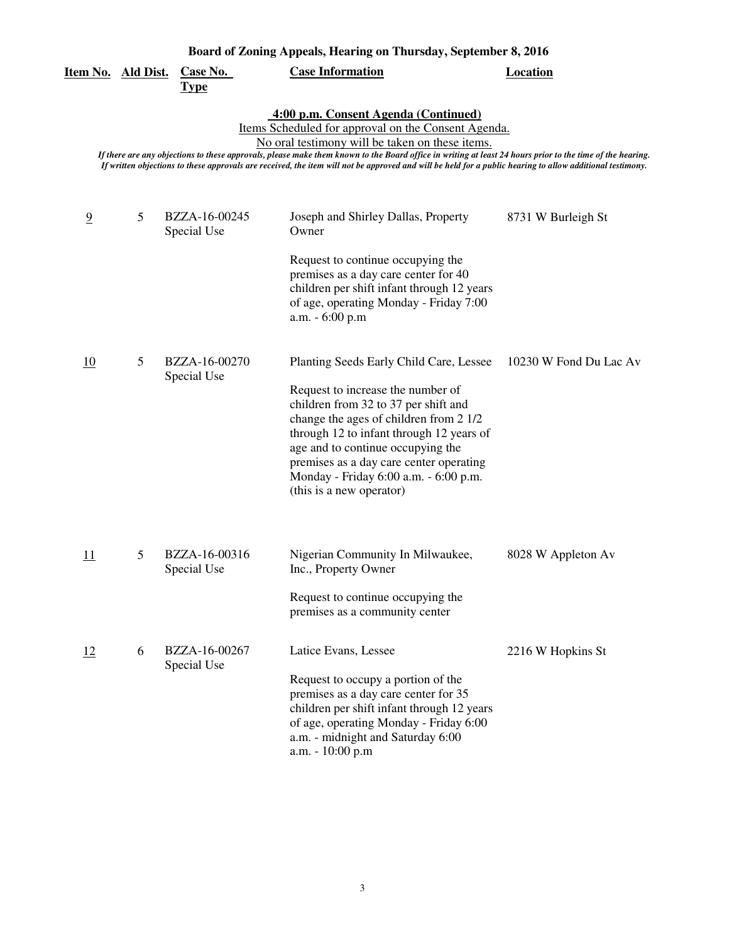| Item No. Ald Dist. |   | <b>Case No.</b><br><u>Type</u> | <b>Case Information</b>                                                                                                                                                                                                                                                                                                                                                                                                                                                  | <b>Location</b>        |
|--------------------|---|--------------------------------|--------------------------------------------------------------------------------------------------------------------------------------------------------------------------------------------------------------------------------------------------------------------------------------------------------------------------------------------------------------------------------------------------------------------------------------------------------------------------|------------------------|
|                    |   |                                | 4:00 p.m. Consent Agenda (Continued)<br>Items Scheduled for approval on the Consent Agenda.<br>No oral testimony will be taken on these items.<br>If there are any objections to these approvals, please make them known to the Board office in writing at least 24 hours prior to the time of the hearing.<br>If written objections to these approvals are received, the item will not be approved and will be held for a public hearing to allow additional testimony. |                        |
| $\overline{9}$     | 5 | BZZA-16-00245<br>Special Use   | Joseph and Shirley Dallas, Property<br>Owner<br>Request to continue occupying the<br>premises as a day care center for 40<br>children per shift infant through 12 years<br>of age, operating Monday - Friday 7:00                                                                                                                                                                                                                                                        | 8731 W Burleigh St     |
| 10                 | 5 | BZZA-16-00270<br>Special Use   | a.m. - 6:00 p.m<br>Planting Seeds Early Child Care, Lessee<br>Request to increase the number of<br>children from 32 to 37 per shift and<br>change the ages of children from 2 1/2<br>through 12 to infant through 12 years of<br>age and to continue occupying the<br>premises as a day care center operating<br>Monday - Friday 6:00 a.m. - 6:00 p.m.<br>(this is a new operator)                                                                                       | 10230 W Fond Du Lac Av |
| 11                 | 5 | BZZA-16-00316<br>Special Use   | Nigerian Community In Milwaukee,<br>Inc., Property Owner<br>Request to continue occupying the<br>premises as a community center                                                                                                                                                                                                                                                                                                                                          | 8028 W Appleton Av     |
| 12                 | 6 | BZZA-16-00267<br>Special Use   | Latice Evans, Lessee<br>Request to occupy a portion of the<br>premises as a day care center for 35<br>children per shift infant through 12 years<br>of age, operating Monday - Friday 6:00<br>a.m. - midnight and Saturday 6:00<br>a.m. - 10:00 p.m                                                                                                                                                                                                                      | 2216 W Hopkins St      |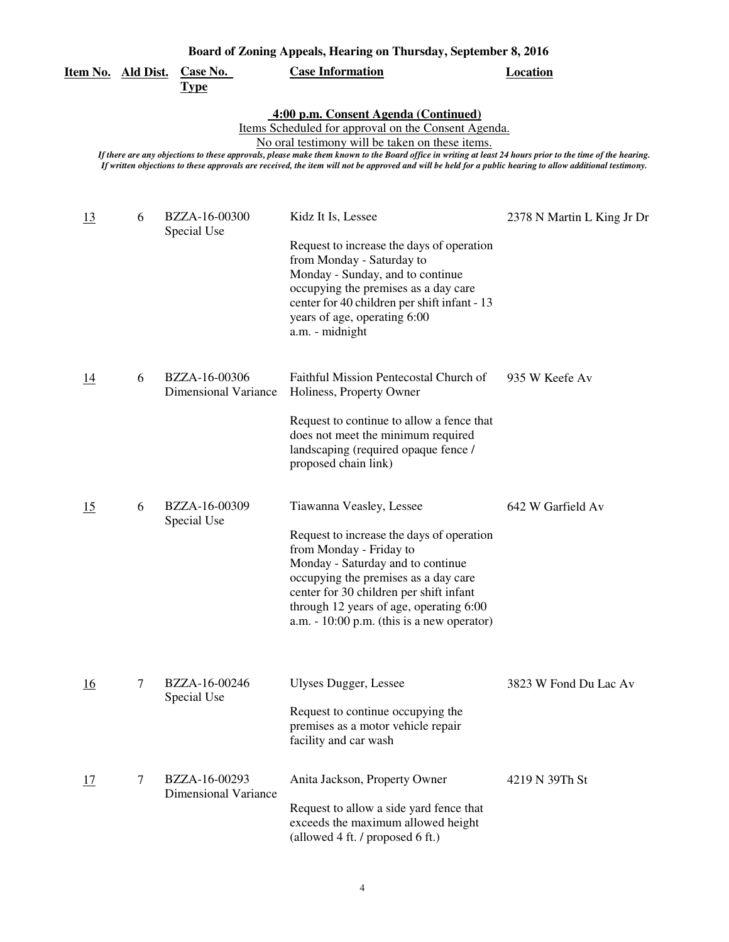| <u>Item No. Ald Dist.</u> |        | Case No.<br><b>Type</b>                      | <b>Case Information</b>                                                                                                                                                                                                                                                                                                                                                                                                                                                  | <b>Location</b>            |
|---------------------------|--------|----------------------------------------------|--------------------------------------------------------------------------------------------------------------------------------------------------------------------------------------------------------------------------------------------------------------------------------------------------------------------------------------------------------------------------------------------------------------------------------------------------------------------------|----------------------------|
|                           |        |                                              | 4:00 p.m. Consent Agenda (Continued)<br>Items Scheduled for approval on the Consent Agenda.<br>No oral testimony will be taken on these items.<br>If there are any objections to these approvals, please make them known to the Board office in writing at least 24 hours prior to the time of the hearing.<br>If written objections to these approvals are received, the item will not be approved and will be held for a public hearing to allow additional testimony. |                            |
| <u>13</u>                 | 6      | BZZA-16-00300<br>Special Use                 | Kidz It Is, Lessee<br>Request to increase the days of operation<br>from Monday - Saturday to<br>Monday - Sunday, and to continue<br>occupying the premises as a day care<br>center for 40 children per shift infant - 13<br>years of age, operating 6:00<br>a.m. - midnight                                                                                                                                                                                              | 2378 N Martin L King Jr Dr |
| 14                        | 6      | BZZA-16-00306<br><b>Dimensional Variance</b> | Faithful Mission Pentecostal Church of<br>Holiness, Property Owner<br>Request to continue to allow a fence that<br>does not meet the minimum required<br>landscaping (required opaque fence /<br>proposed chain link)                                                                                                                                                                                                                                                    | 935 W Keefe Av             |
| 15                        | 6      | BZZA-16-00309<br>Special Use                 | Tiawanna Veasley, Lessee<br>Request to increase the days of operation<br>from Monday - Friday to<br>Monday - Saturday and to continue<br>occupying the premises as a day care<br>center for 30 children per shift infant<br>through 12 years of age, operating 6:00<br>a.m. $-10:00$ p.m. (this is a new operator)                                                                                                                                                       | 642 W Garfield Av          |
| 16                        | $\tau$ | BZZA-16-00246<br>Special Use                 | Ulyses Dugger, Lessee<br>Request to continue occupying the<br>premises as a motor vehicle repair<br>facility and car wash                                                                                                                                                                                                                                                                                                                                                | 3823 W Fond Du Lac Av      |
| 17                        | 7      | BZZA-16-00293<br><b>Dimensional Variance</b> | Anita Jackson, Property Owner<br>Request to allow a side yard fence that<br>exceeds the maximum allowed height<br>(allowed 4 ft. / proposed 6 ft.)                                                                                                                                                                                                                                                                                                                       | 4219 N 39Th St             |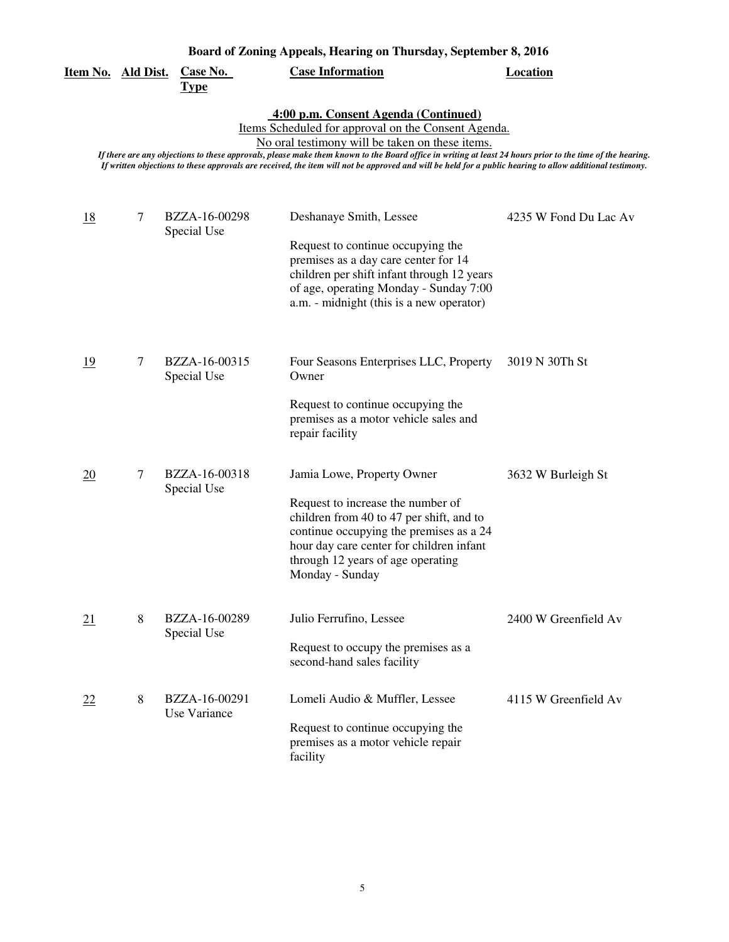| <u>Item No. Ald Dist.</u> |                | <b>Case No.</b><br><b>Type</b> | <b>Case Information</b>                                                                                                                                                                                                                                                                                                                                                                                                                                                  | <b>Location</b>       |
|---------------------------|----------------|--------------------------------|--------------------------------------------------------------------------------------------------------------------------------------------------------------------------------------------------------------------------------------------------------------------------------------------------------------------------------------------------------------------------------------------------------------------------------------------------------------------------|-----------------------|
|                           |                |                                | 4:00 p.m. Consent Agenda (Continued)<br>Items Scheduled for approval on the Consent Agenda.<br>No oral testimony will be taken on these items.<br>If there are any objections to these approvals, please make them known to the Board office in writing at least 24 hours prior to the time of the hearing.<br>If written objections to these approvals are received, the item will not be approved and will be held for a public hearing to allow additional testimony. |                       |
| <u>18</u>                 | 7              | BZZA-16-00298<br>Special Use   | Deshanaye Smith, Lessee<br>Request to continue occupying the<br>premises as a day care center for 14<br>children per shift infant through 12 years<br>of age, operating Monday - Sunday 7:00<br>a.m. - midnight (this is a new operator)                                                                                                                                                                                                                                 | 4235 W Fond Du Lac Av |
| <u>19</u>                 | 7              | BZZA-16-00315<br>Special Use   | Four Seasons Enterprises LLC, Property<br>Owner<br>Request to continue occupying the<br>premises as a motor vehicle sales and<br>repair facility                                                                                                                                                                                                                                                                                                                         | 3019 N 30Th St        |
| $\overline{20}$           | $\overline{7}$ | BZZA-16-00318<br>Special Use   | Jamia Lowe, Property Owner<br>Request to increase the number of<br>children from 40 to 47 per shift, and to<br>continue occupying the premises as a 24<br>hour day care center for children infant<br>through 12 years of age operating<br>Monday - Sunday                                                                                                                                                                                                               | 3632 W Burleigh St    |
| 21                        | 8              | BZZA-16-00289<br>Special Use   | Julio Ferrufino, Lessee<br>Request to occupy the premises as a<br>second-hand sales facility                                                                                                                                                                                                                                                                                                                                                                             | 2400 W Greenfield Av  |
| 22                        | 8              | BZZA-16-00291<br>Use Variance  | Lomeli Audio & Muffler, Lessee<br>Request to continue occupying the<br>premises as a motor vehicle repair<br>facility                                                                                                                                                                                                                                                                                                                                                    | 4115 W Greenfield Av  |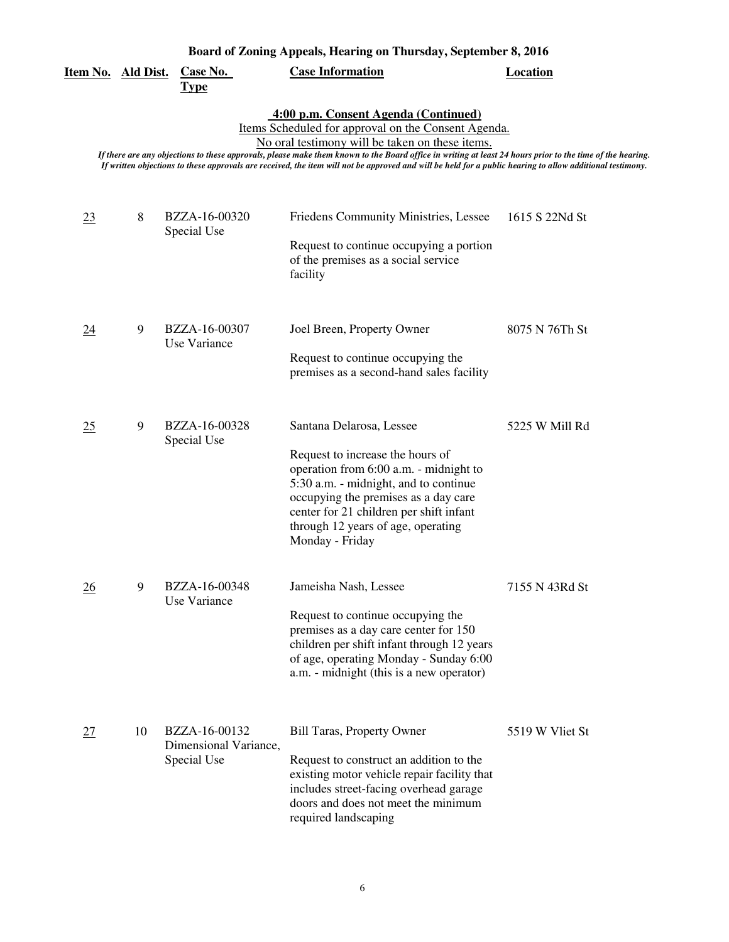| <u>Item No. Ald Dist.</u>                                                                                                                                                                                                                                                                                                                                                                                                                                                |    | <b>Case No.</b><br><u>Type</u>                        | <b>Case Information</b>                                                                                                                                                                                                                                                                     | <b>Location</b> |  |  |
|--------------------------------------------------------------------------------------------------------------------------------------------------------------------------------------------------------------------------------------------------------------------------------------------------------------------------------------------------------------------------------------------------------------------------------------------------------------------------|----|-------------------------------------------------------|---------------------------------------------------------------------------------------------------------------------------------------------------------------------------------------------------------------------------------------------------------------------------------------------|-----------------|--|--|
| 4:00 p.m. Consent Agenda (Continued)<br>Items Scheduled for approval on the Consent Agenda.<br>No oral testimony will be taken on these items.<br>If there are any objections to these approvals, please make them known to the Board office in writing at least 24 hours prior to the time of the hearing.<br>If written objections to these approvals are received, the item will not be approved and will be held for a public hearing to allow additional testimony. |    |                                                       |                                                                                                                                                                                                                                                                                             |                 |  |  |
| 23                                                                                                                                                                                                                                                                                                                                                                                                                                                                       | 8  | BZZA-16-00320<br>Special Use                          | Friedens Community Ministries, Lessee<br>Request to continue occupying a portion<br>of the premises as a social service<br>facility                                                                                                                                                         | 1615 S 22Nd St  |  |  |
| <u>24</u>                                                                                                                                                                                                                                                                                                                                                                                                                                                                | 9  | BZZA-16-00307<br>Use Variance                         | Joel Breen, Property Owner<br>Request to continue occupying the<br>premises as a second-hand sales facility                                                                                                                                                                                 | 8075 N 76Th St  |  |  |
| 25                                                                                                                                                                                                                                                                                                                                                                                                                                                                       | 9  | BZZA-16-00328<br>Special Use                          | Santana Delarosa, Lessee<br>Request to increase the hours of<br>operation from 6:00 a.m. - midnight to<br>5:30 a.m. - midnight, and to continue<br>occupying the premises as a day care<br>center for 21 children per shift infant<br>through 12 years of age, operating<br>Monday - Friday | 5225 W Mill Rd  |  |  |
| 26                                                                                                                                                                                                                                                                                                                                                                                                                                                                       | 9  | BZZA-16-00348<br>Use Variance                         | Jameisha Nash, Lessee<br>Request to continue occupying the<br>premises as a day care center for 150<br>children per shift infant through 12 years<br>of age, operating Monday - Sunday 6:00<br>a.m. - midnight (this is a new operator)                                                     | 7155 N 43Rd St  |  |  |
| 27                                                                                                                                                                                                                                                                                                                                                                                                                                                                       | 10 | BZZA-16-00132<br>Dimensional Variance,<br>Special Use | <b>Bill Taras, Property Owner</b><br>Request to construct an addition to the<br>existing motor vehicle repair facility that<br>includes street-facing overhead garage<br>doors and does not meet the minimum<br>required landscaping                                                        | 5519 W Vliet St |  |  |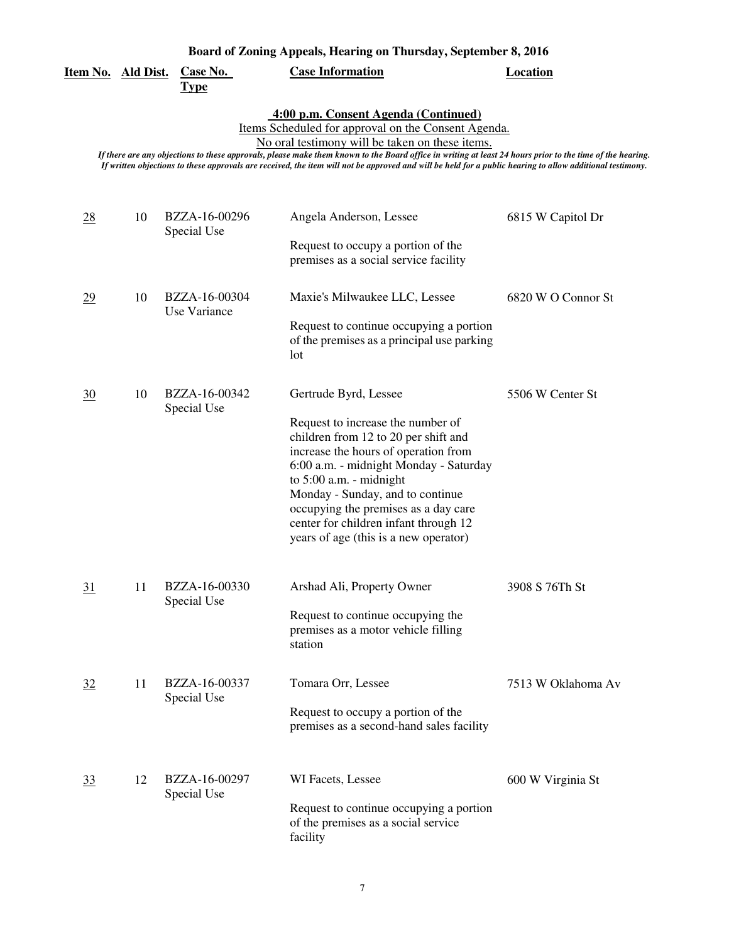| Item No. Ald Dist. |    | <b>Case No.</b><br><b>Type</b>  | <b>Case Information</b>                                                                                                                                                                                                                                                                                                                                                                                                                                                  | <b>Location</b>    |
|--------------------|----|---------------------------------|--------------------------------------------------------------------------------------------------------------------------------------------------------------------------------------------------------------------------------------------------------------------------------------------------------------------------------------------------------------------------------------------------------------------------------------------------------------------------|--------------------|
|                    |    |                                 | 4:00 p.m. Consent Agenda (Continued)<br>Items Scheduled for approval on the Consent Agenda.<br>No oral testimony will be taken on these items.<br>If there are any objections to these approvals, please make them known to the Board office in writing at least 24 hours prior to the time of the hearing.<br>If written objections to these approvals are received, the item will not be approved and will be held for a public hearing to allow additional testimony. |                    |
| $\frac{28}{5}$     | 10 | BZZA-16-00296<br>Special Use    | Angela Anderson, Lessee<br>Request to occupy a portion of the<br>premises as a social service facility                                                                                                                                                                                                                                                                                                                                                                   | 6815 W Capitol Dr  |
| 29                 | 10 | BZZA-16-00304<br>Use Variance   | Maxie's Milwaukee LLC, Lessee<br>Request to continue occupying a portion<br>of the premises as a principal use parking<br>lot                                                                                                                                                                                                                                                                                                                                            | 6820 W O Connor St |
| 30                 | 10 | BZZA-16-00342<br>Special Use    | Gertrude Byrd, Lessee<br>Request to increase the number of<br>children from 12 to 20 per shift and<br>increase the hours of operation from<br>6:00 a.m. - midnight Monday - Saturday<br>to $5:00$ a.m. - midnight<br>Monday - Sunday, and to continue<br>occupying the premises as a day care<br>center for children infant through 12<br>years of age (this is a new operator)                                                                                          | 5506 W Center St   |
| <u>31</u>          |    | 11 BZZA-16-00330<br>Special Use | Arshad Ali, Property Owner<br>Request to continue occupying the<br>premises as a motor vehicle filling<br>station                                                                                                                                                                                                                                                                                                                                                        | 3908 S 76Th St     |
| 32                 | 11 | BZZA-16-00337<br>Special Use    | Tomara Orr, Lessee<br>Request to occupy a portion of the<br>premises as a second-hand sales facility                                                                                                                                                                                                                                                                                                                                                                     | 7513 W Oklahoma Av |
| 33                 | 12 | BZZA-16-00297<br>Special Use    | WI Facets, Lessee<br>Request to continue occupying a portion<br>of the premises as a social service<br>facility                                                                                                                                                                                                                                                                                                                                                          | 600 W Virginia St  |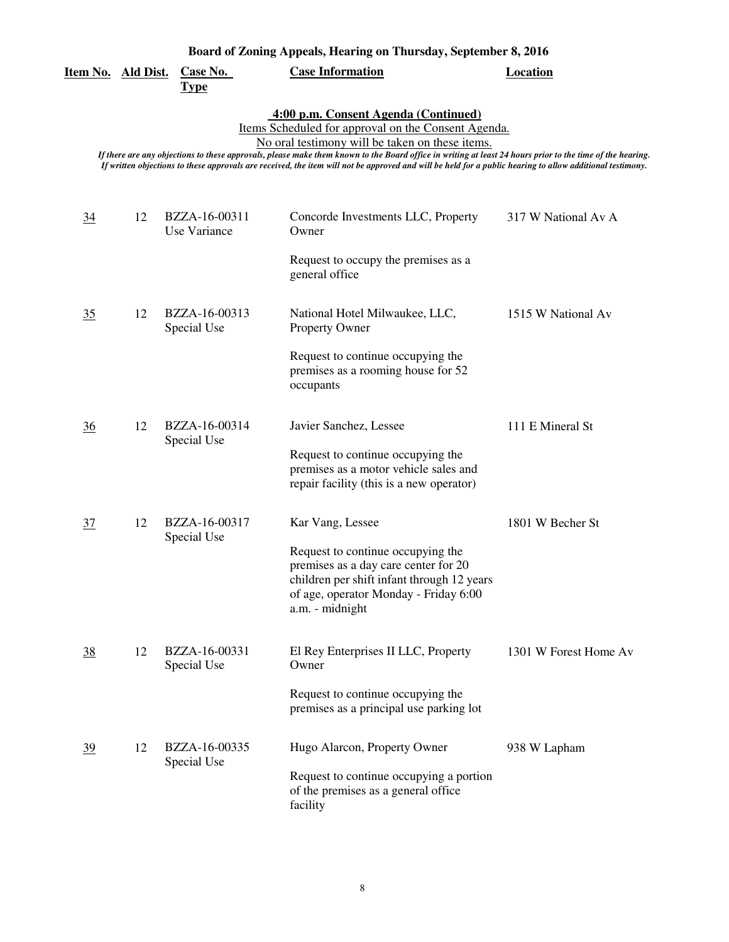| Board of Zoning Appeals, Hearing on Thursday, September 8, 2016 |  |  |  |  |  |
|-----------------------------------------------------------------|--|--|--|--|--|
|-----------------------------------------------------------------|--|--|--|--|--|

| <u>Item No. Ald Dist.</u>                                                                                                                                                                                                                                                                                                                                                                                                                                                |    | <b>Case No.</b><br><b>Type</b> | <b>Case Information</b>                                                                                                                                                             | <b>Location</b>       |  |  |
|--------------------------------------------------------------------------------------------------------------------------------------------------------------------------------------------------------------------------------------------------------------------------------------------------------------------------------------------------------------------------------------------------------------------------------------------------------------------------|----|--------------------------------|-------------------------------------------------------------------------------------------------------------------------------------------------------------------------------------|-----------------------|--|--|
| 4:00 p.m. Consent Agenda (Continued)<br>Items Scheduled for approval on the Consent Agenda.<br>No oral testimony will be taken on these items.<br>If there are any objections to these approvals, please make them known to the Board office in writing at least 24 hours prior to the time of the hearing.<br>If written objections to these approvals are received, the item will not be approved and will be held for a public hearing to allow additional testimony. |    |                                |                                                                                                                                                                                     |                       |  |  |
| $\overline{34}$                                                                                                                                                                                                                                                                                                                                                                                                                                                          | 12 | BZZA-16-00311<br>Use Variance  | Concorde Investments LLC, Property<br>Owner                                                                                                                                         | 317 W National Av A   |  |  |
|                                                                                                                                                                                                                                                                                                                                                                                                                                                                          |    |                                | Request to occupy the premises as a<br>general office                                                                                                                               |                       |  |  |
| 35                                                                                                                                                                                                                                                                                                                                                                                                                                                                       | 12 | BZZA-16-00313<br>Special Use   | National Hotel Milwaukee, LLC,<br><b>Property Owner</b>                                                                                                                             | 1515 W National Av    |  |  |
|                                                                                                                                                                                                                                                                                                                                                                                                                                                                          |    |                                | Request to continue occupying the<br>premises as a rooming house for 52<br>occupants                                                                                                |                       |  |  |
| $\frac{36}{5}$                                                                                                                                                                                                                                                                                                                                                                                                                                                           | 12 | BZZA-16-00314<br>Special Use   | Javier Sanchez, Lessee                                                                                                                                                              | 111 E Mineral St      |  |  |
|                                                                                                                                                                                                                                                                                                                                                                                                                                                                          |    |                                | Request to continue occupying the<br>premises as a motor vehicle sales and<br>repair facility (this is a new operator)                                                              |                       |  |  |
| $\frac{37}{2}$                                                                                                                                                                                                                                                                                                                                                                                                                                                           | 12 | BZZA-16-00317<br>Special Use   | Kar Vang, Lessee                                                                                                                                                                    | 1801 W Becher St      |  |  |
|                                                                                                                                                                                                                                                                                                                                                                                                                                                                          |    |                                | Request to continue occupying the<br>premises as a day care center for 20<br>children per shift infant through 12 years<br>of age, operator Monday - Friday 6:00<br>a.m. - midnight |                       |  |  |
| $\frac{38}{5}$                                                                                                                                                                                                                                                                                                                                                                                                                                                           | 12 | BZZA-16-00331<br>Special Use   | El Rey Enterprises II LLC, Property<br>Owner                                                                                                                                        | 1301 W Forest Home Av |  |  |
|                                                                                                                                                                                                                                                                                                                                                                                                                                                                          |    |                                | Request to continue occupying the<br>premises as a principal use parking lot                                                                                                        |                       |  |  |
| <u>39</u>                                                                                                                                                                                                                                                                                                                                                                                                                                                                | 12 | BZZA-16-00335<br>Special Use   | Hugo Alarcon, Property Owner                                                                                                                                                        | 938 W Lapham          |  |  |
|                                                                                                                                                                                                                                                                                                                                                                                                                                                                          |    |                                | Request to continue occupying a portion<br>of the premises as a general office<br>facility                                                                                          |                       |  |  |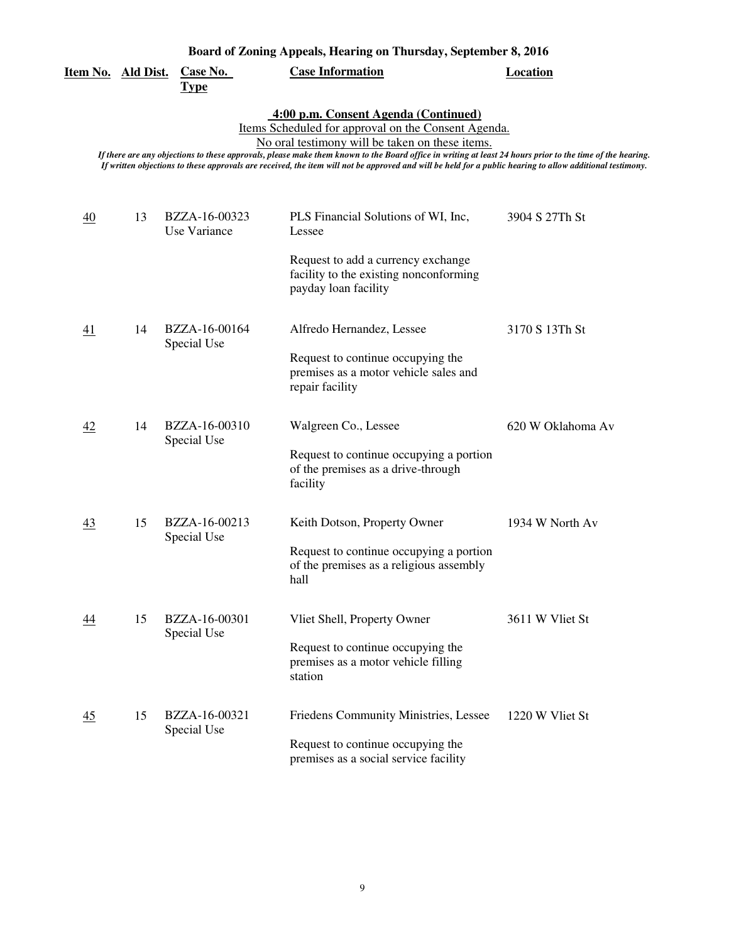| <u>Item No. Ald Dist.</u> |    | <u>Case No.</u><br><b>Type</b> | <b>Case Information</b>                                                                                                                                                                                                                                                                                                                                                                                                                                                  | <b>Location</b>   |
|---------------------------|----|--------------------------------|--------------------------------------------------------------------------------------------------------------------------------------------------------------------------------------------------------------------------------------------------------------------------------------------------------------------------------------------------------------------------------------------------------------------------------------------------------------------------|-------------------|
|                           |    |                                | 4:00 p.m. Consent Agenda (Continued)<br>Items Scheduled for approval on the Consent Agenda.<br>No oral testimony will be taken on these items.<br>If there are any objections to these approvals, please make them known to the Board office in writing at least 24 hours prior to the time of the hearing.<br>If written objections to these approvals are received, the item will not be approved and will be held for a public hearing to allow additional testimony. |                   |
| 40                        | 13 | BZZA-16-00323<br>Use Variance  | PLS Financial Solutions of WI, Inc,<br>Lessee                                                                                                                                                                                                                                                                                                                                                                                                                            | 3904 S 27Th St    |
|                           |    |                                | Request to add a currency exchange<br>facility to the existing nonconforming<br>payday loan facility                                                                                                                                                                                                                                                                                                                                                                     |                   |
| <u>41</u>                 | 14 | BZZA-16-00164<br>Special Use   | Alfredo Hernandez, Lessee<br>Request to continue occupying the<br>premises as a motor vehicle sales and<br>repair facility                                                                                                                                                                                                                                                                                                                                               | 3170 S 13Th St    |
| 42                        | 14 | BZZA-16-00310<br>Special Use   | Walgreen Co., Lessee<br>Request to continue occupying a portion<br>of the premises as a drive-through<br>facility                                                                                                                                                                                                                                                                                                                                                        | 620 W Oklahoma Av |
| 43                        | 15 | BZZA-16-00213<br>Special Use   | Keith Dotson, Property Owner<br>Request to continue occupying a portion<br>of the premises as a religious assembly<br>hall                                                                                                                                                                                                                                                                                                                                               | 1934 W North Av   |
| 44                        | 15 | BZZA-16-00301<br>Special Use   | Vliet Shell, Property Owner<br>Request to continue occupying the<br>premises as a motor vehicle filling<br>station                                                                                                                                                                                                                                                                                                                                                       | 3611 W Vliet St   |
| $\overline{45}$           | 15 | BZZA-16-00321<br>Special Use   | Friedens Community Ministries, Lessee<br>Request to continue occupying the<br>premises as a social service facility                                                                                                                                                                                                                                                                                                                                                      | 1220 W Vliet St   |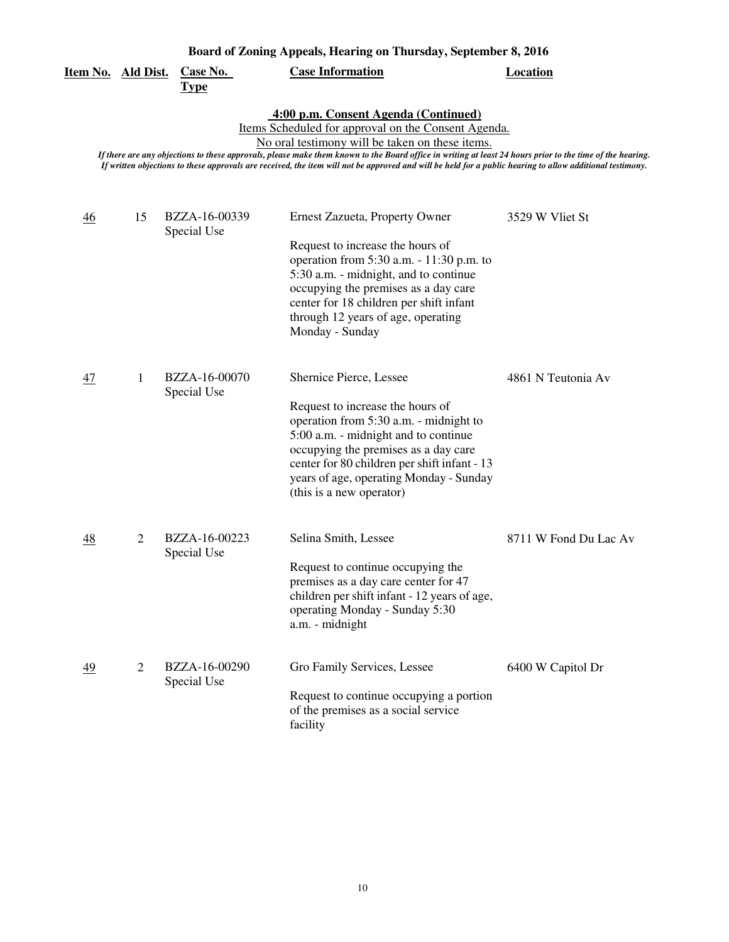| <u>Item No. Ald Dist.</u>                                                                                                                                                                                                                                                                                                                                                                                                                                                |                | <b>Case No.</b><br><b>Type</b> | <b>Case Information</b>                                                                                                                                                                                                                                                                                      | <b>Location</b>       |  |
|--------------------------------------------------------------------------------------------------------------------------------------------------------------------------------------------------------------------------------------------------------------------------------------------------------------------------------------------------------------------------------------------------------------------------------------------------------------------------|----------------|--------------------------------|--------------------------------------------------------------------------------------------------------------------------------------------------------------------------------------------------------------------------------------------------------------------------------------------------------------|-----------------------|--|
| 4:00 p.m. Consent Agenda (Continued)<br>Items Scheduled for approval on the Consent Agenda.<br>No oral testimony will be taken on these items.<br>If there are any objections to these approvals, please make them known to the Board office in writing at least 24 hours prior to the time of the hearing.<br>If written objections to these approvals are received, the item will not be approved and will be held for a public hearing to allow additional testimony. |                |                                |                                                                                                                                                                                                                                                                                                              |                       |  |
| $\frac{46}{5}$                                                                                                                                                                                                                                                                                                                                                                                                                                                           | 15             | BZZA-16-00339<br>Special Use   | Ernest Zazueta, Property Owner<br>Request to increase the hours of<br>operation from 5:30 a.m. - 11:30 p.m. to<br>5:30 a.m. - midnight, and to continue<br>occupying the premises as a day care<br>center for 18 children per shift infant<br>through 12 years of age, operating<br>Monday - Sunday          | 3529 W Vliet St       |  |
| 47                                                                                                                                                                                                                                                                                                                                                                                                                                                                       | 1              | BZZA-16-00070<br>Special Use   | Shernice Pierce, Lessee<br>Request to increase the hours of<br>operation from 5:30 a.m. - midnight to<br>5:00 a.m. - midnight and to continue<br>occupying the premises as a day care<br>center for 80 children per shift infant - 13<br>years of age, operating Monday - Sunday<br>(this is a new operator) | 4861 N Teutonia Av    |  |
| 48                                                                                                                                                                                                                                                                                                                                                                                                                                                                       | $\overline{2}$ | BZZA-16-00223<br>Special Use   | Selina Smith, Lessee<br>Request to continue occupying the<br>premises as a day care center for 47<br>children per shift infant - 12 years of age,<br>operating Monday - Sunday 5:30<br>a.m. - midnight                                                                                                       | 8711 W Fond Du Lac Av |  |
| 49                                                                                                                                                                                                                                                                                                                                                                                                                                                                       | $\overline{2}$ | BZZA-16-00290<br>Special Use   | Gro Family Services, Lessee<br>Request to continue occupying a portion<br>of the premises as a social service<br>facility                                                                                                                                                                                    | 6400 W Capitol Dr     |  |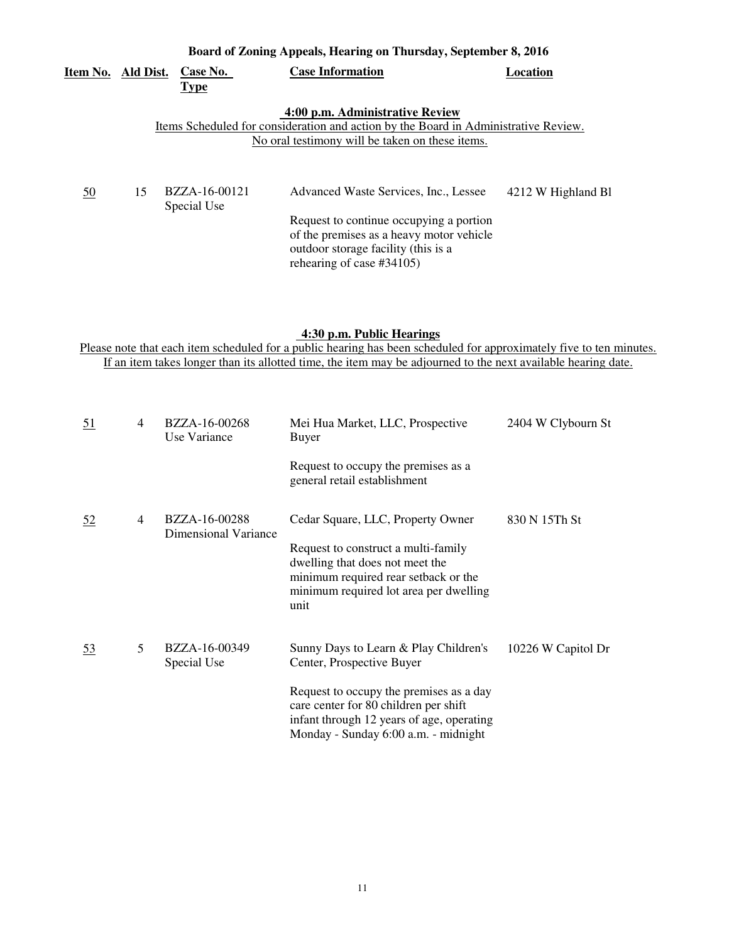|           | Board of Zoning Appeals, Hearing on Thursday, September 8, 2016 |                              |                                                                                                                                                                     |                    |  |
|-----------|-----------------------------------------------------------------|------------------------------|---------------------------------------------------------------------------------------------------------------------------------------------------------------------|--------------------|--|
| Item No.  | Ald Dist.                                                       | Case No.<br><b>Type</b>      | <b>Case Information</b>                                                                                                                                             | Location           |  |
|           |                                                                 |                              | 4:00 p.m. Administrative Review                                                                                                                                     |                    |  |
|           |                                                                 |                              | Items Scheduled for consideration and action by the Board in Administrative Review.                                                                                 |                    |  |
|           |                                                                 |                              | No oral testimony will be taken on these items.                                                                                                                     |                    |  |
| <u>50</u> | 15                                                              | BZZA-16-00121<br>Special Use | Advanced Waste Services, Inc., Lessee<br>Request to continue occupying a portion<br>of the premises as a heavy motor vehicle<br>outdoor storage facility (this is a | 4212 W Highland Bl |  |

#### **4:30 p.m. Public Hearings**

rehearing of case #34105)

Please note that each item scheduled for a public hearing has been scheduled for approximately five to ten minutes. If an item takes longer than its allotted time, the item may be adjourned to the next available hearing date.

| <u>51</u> | 4 | BZZA-16-00268<br>Use Variance         | Mei Hua Market, LLC, Prospective<br>Buyer                                                                                                                                                                                                   | 2404 W Clybourn St |
|-----------|---|---------------------------------------|---------------------------------------------------------------------------------------------------------------------------------------------------------------------------------------------------------------------------------------------|--------------------|
|           |   |                                       | Request to occupy the premises as a<br>general retail establishment                                                                                                                                                                         |                    |
| <u>52</u> | 4 | BZZA-16-00288<br>Dimensional Variance | Cedar Square, LLC, Property Owner<br>Request to construct a multi-family<br>dwelling that does not meet the<br>minimum required rear setback or the<br>minimum required lot area per dwelling<br>unit                                       | 830 N 15Th St      |
| <u>53</u> | 5 | BZZA-16-00349<br>Special Use          | Sunny Days to Learn & Play Children's<br>Center, Prospective Buyer<br>Request to occupy the premises as a day<br>care center for 80 children per shift<br>infant through 12 years of age, operating<br>Monday - Sunday 6:00 a.m. - midnight | 10226 W Capitol Dr |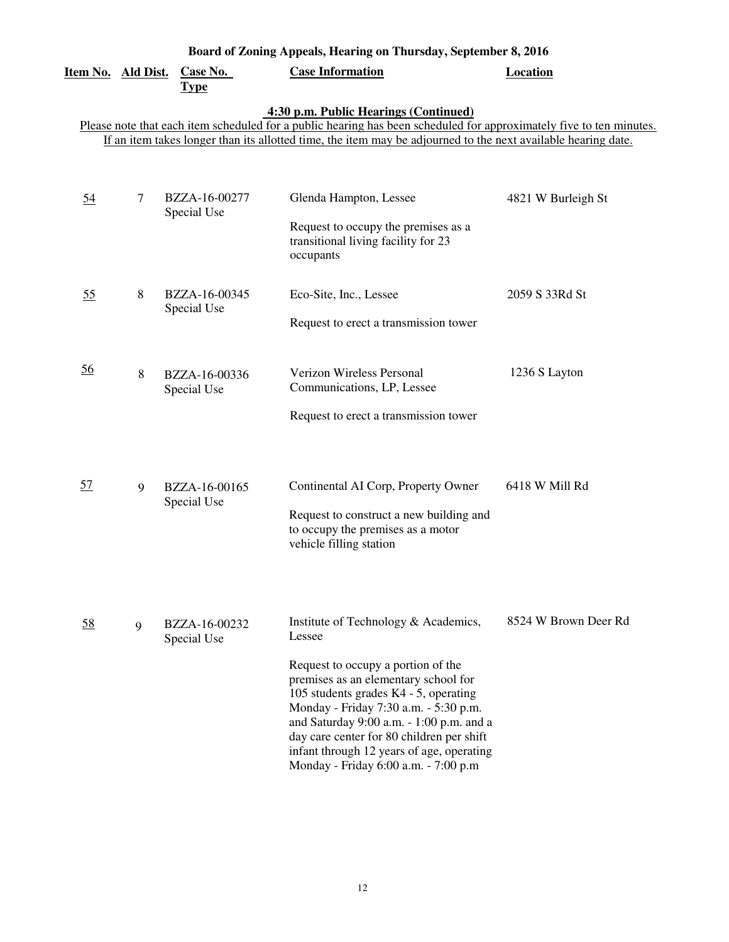| Board of Zoning Appeals, Hearing on Thursday, September 8, 2016 |   |                                |                                                                                                                                                                                                                                                                                                                                                                                              |                      |  |
|-----------------------------------------------------------------|---|--------------------------------|----------------------------------------------------------------------------------------------------------------------------------------------------------------------------------------------------------------------------------------------------------------------------------------------------------------------------------------------------------------------------------------------|----------------------|--|
| Item No. Ald Dist.                                              |   | <b>Case No.</b><br><b>Type</b> | <b>Case Information</b>                                                                                                                                                                                                                                                                                                                                                                      | <b>Location</b>      |  |
|                                                                 |   |                                | 4:30 p.m. Public Hearings (Continued)<br>Please note that each item scheduled for a public hearing has been scheduled for approximately five to ten minutes.<br>If an item takes longer than its allotted time, the item may be adjourned to the next available hearing date.                                                                                                                |                      |  |
| $\underline{54}$                                                | 7 | BZZA-16-00277<br>Special Use   | Glenda Hampton, Lessee<br>Request to occupy the premises as a<br>transitional living facility for 23<br>occupants                                                                                                                                                                                                                                                                            | 4821 W Burleigh St   |  |
| 55                                                              | 8 | BZZA-16-00345<br>Special Use   | Eco-Site, Inc., Lessee<br>Request to erect a transmission tower                                                                                                                                                                                                                                                                                                                              | 2059 S 33Rd St       |  |
| $\underline{56}$                                                | 8 | BZZA-16-00336<br>Special Use   | Verizon Wireless Personal<br>Communications, LP, Lessee<br>Request to erect a transmission tower                                                                                                                                                                                                                                                                                             | 1236 S Layton        |  |
| <u>57</u>                                                       | 9 | BZZA-16-00165<br>Special Use   | Continental AI Corp, Property Owner<br>Request to construct a new building and<br>to occupy the premises as a motor<br>vehicle filling station                                                                                                                                                                                                                                               | 6418 W Mill Rd       |  |
| <u>58</u>                                                       | 9 | BZZA-16-00232<br>Special Use   | Institute of Technology & Academics,<br>Lessee<br>Request to occupy a portion of the<br>premises as an elementary school for<br>105 students grades K4 - 5, operating<br>Monday - Friday 7:30 a.m. - 5:30 p.m.<br>and Saturday 9:00 a.m. - 1:00 p.m. and a<br>day care center for 80 children per shift<br>infant through 12 years of age, operating<br>Monday - Friday 6:00 a.m. - 7:00 p.m | 8524 W Brown Deer Rd |  |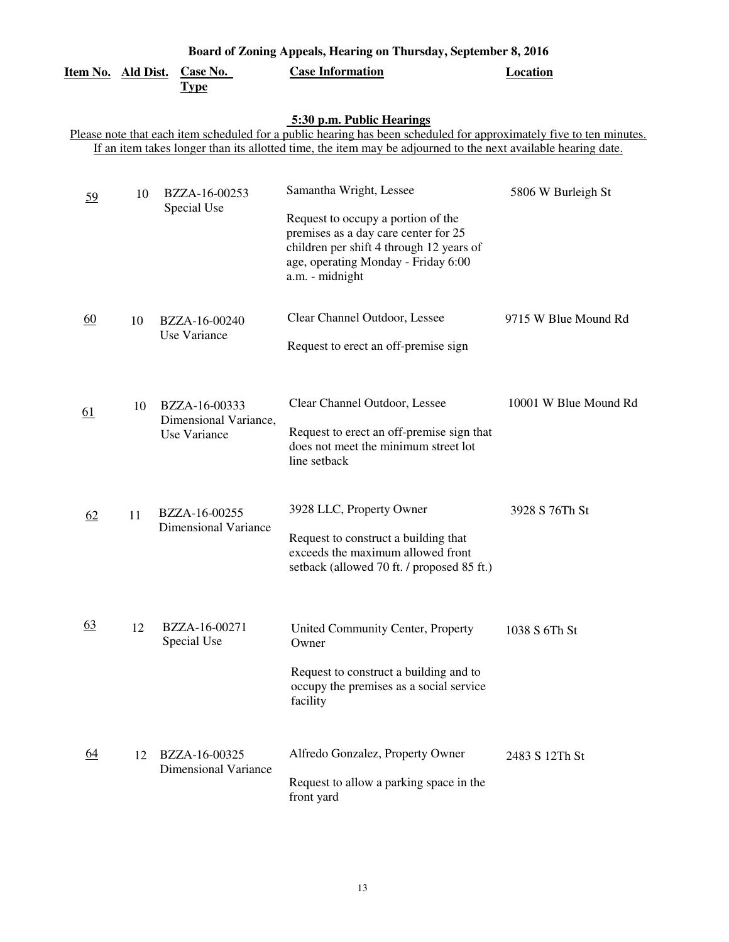| Board of Zoning Appeals, Hearing on Thursday, September 8, 2016 |    |                                              |                                                                                                                                                  |                       |  |  |
|-----------------------------------------------------------------|----|----------------------------------------------|--------------------------------------------------------------------------------------------------------------------------------------------------|-----------------------|--|--|
| Item No. Ald Dist.                                              |    | Case No.<br><b>Type</b>                      | <b>Case Information</b>                                                                                                                          | <b>Location</b>       |  |  |
|                                                                 |    |                                              | 5:30 p.m. Public Hearings<br>Please note that each item scheduled for a public hearing has been scheduled for approximately five to ten minutes. |                       |  |  |
|                                                                 |    |                                              | If an item takes longer than its allotted time, the item may be adjourned to the next available hearing date.                                    |                       |  |  |
| 59                                                              | 10 | BZZA-16-00253<br>Special Use                 | Samantha Wright, Lessee<br>Request to occupy a portion of the                                                                                    | 5806 W Burleigh St    |  |  |
|                                                                 |    |                                              | premises as a day care center for 25<br>children per shift 4 through 12 years of<br>age, operating Monday - Friday 6:00<br>a.m. - midnight       |                       |  |  |
| 60                                                              | 10 | BZZA-16-00240                                | Clear Channel Outdoor, Lessee                                                                                                                    | 9715 W Blue Mound Rd  |  |  |
|                                                                 |    | Use Variance                                 | Request to erect an off-premise sign                                                                                                             |                       |  |  |
| 61                                                              | 10 | BZZA-16-00333<br>Dimensional Variance,       | Clear Channel Outdoor, Lessee                                                                                                                    | 10001 W Blue Mound Rd |  |  |
|                                                                 |    | Use Variance                                 | Request to erect an off-premise sign that<br>does not meet the minimum street lot<br>line setback                                                |                       |  |  |
| 62                                                              | 11 | BZZA-16-00255<br><b>Dimensional Variance</b> | 3928 LLC, Property Owner                                                                                                                         | 3928 S 76Th St        |  |  |
|                                                                 |    |                                              | Request to construct a building that<br>exceeds the maximum allowed front<br>setback (allowed 70 ft. / proposed 85 ft.)                          |                       |  |  |
| 63                                                              | 12 | BZZA-16-00271<br>Special Use                 | United Community Center, Property<br>Owner                                                                                                       | 1038 S 6Th St         |  |  |
|                                                                 |    |                                              | Request to construct a building and to<br>occupy the premises as a social service<br>facility                                                    |                       |  |  |
| <u>64</u>                                                       | 12 | BZZA-16-00325<br><b>Dimensional Variance</b> | Alfredo Gonzalez, Property Owner                                                                                                                 | 2483 S 12Th St        |  |  |
|                                                                 |    |                                              | Request to allow a parking space in the<br>front yard                                                                                            |                       |  |  |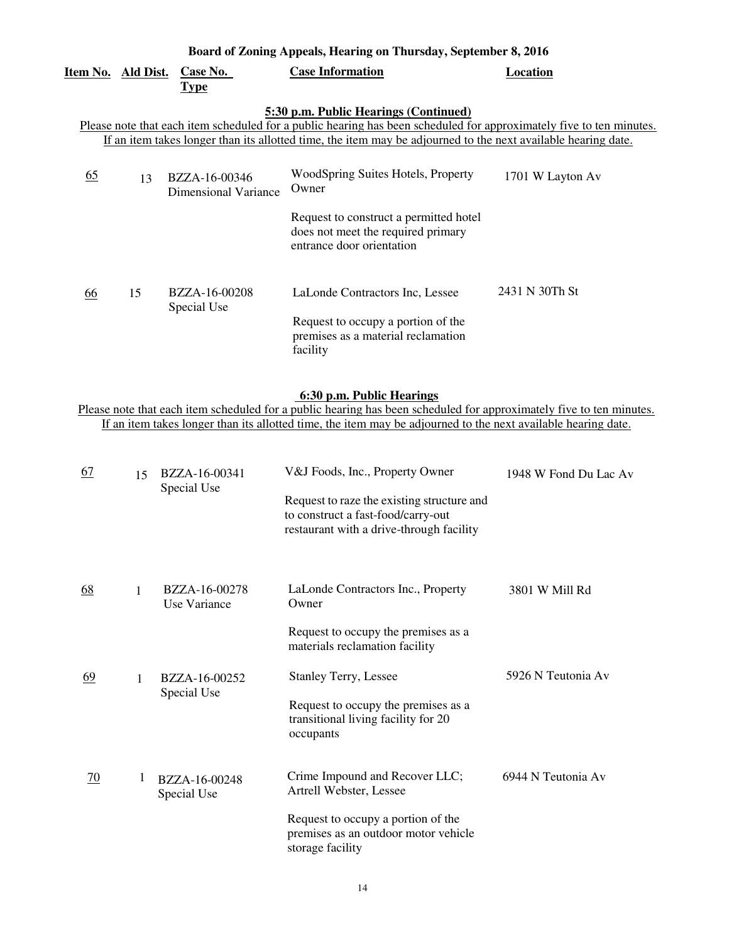| Item No. Ald Dist.                                                                                                                                                                                                                                                            |    | <b>Case No.</b><br><b>Type</b>        | <b>Case Information</b>                                                                                   | Location         |  |  |
|-------------------------------------------------------------------------------------------------------------------------------------------------------------------------------------------------------------------------------------------------------------------------------|----|---------------------------------------|-----------------------------------------------------------------------------------------------------------|------------------|--|--|
| 5:30 p.m. Public Hearings (Continued)<br>Please note that each item scheduled for a public hearing has been scheduled for approximately five to ten minutes.<br>If an item takes longer than its allotted time, the item may be adjourned to the next available hearing date. |    |                                       |                                                                                                           |                  |  |  |
| <u>65</u>                                                                                                                                                                                                                                                                     | 13 | BZZA-16-00346<br>Dimensional Variance | WoodSpring Suites Hotels, Property<br>Owner                                                               | 1701 W Layton Av |  |  |
|                                                                                                                                                                                                                                                                               |    |                                       | Request to construct a permitted hotel<br>does not meet the required primary<br>entrance door orientation |                  |  |  |
| 66                                                                                                                                                                                                                                                                            | 15 | BZZA-16-00208<br>Special Use          | LaLonde Contractors Inc, Lessee                                                                           | 2431 N 30Th St   |  |  |
|                                                                                                                                                                                                                                                                               |    |                                       | Request to occupy a portion of the<br>premises as a material reclamation<br>facility                      |                  |  |  |

#### **6:30 p.m. Public Hearings**

Please note that each item scheduled for a public hearing has been scheduled for approximately five to ten minutes. If an item takes longer than its allotted time, the item may be adjourned to the next available hearing date.

| <u>67</u> | 15 | BZZA-16-00341<br>Special Use  | V&J Foods, Inc., Property Owner<br>Request to raze the existing structure and<br>to construct a fast-food/carry-out<br>restaurant with a drive-through facility | 1948 W Fond Du Lac Av |
|-----------|----|-------------------------------|-----------------------------------------------------------------------------------------------------------------------------------------------------------------|-----------------------|
| <u>68</u> | 1  | BZZA-16-00278<br>Use Variance | LaLonde Contractors Inc., Property<br>Owner                                                                                                                     | 3801 W Mill Rd        |
|           |    |                               | Request to occupy the premises as a<br>materials reclamation facility                                                                                           |                       |
| <u>69</u> | 1  | BZZA-16-00252<br>Special Use  | <b>Stanley Terry, Lessee</b>                                                                                                                                    | 5926 N Teutonia Av    |
|           |    |                               | Request to occupy the premises as a<br>transitional living facility for 20<br>occupants                                                                         |                       |
| 70        | 1  | BZZA-16-00248<br>Special Use  | Crime Impound and Recover LLC;<br>Artrell Webster, Lessee                                                                                                       | 6944 N Teutonia Av    |
|           |    |                               | Request to occupy a portion of the<br>premises as an outdoor motor vehicle<br>storage facility                                                                  |                       |